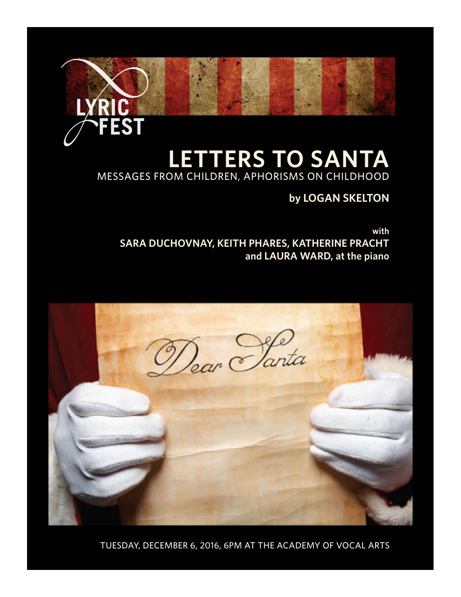# **LETTERS TO SANTA** MESSAGES FROM CHILDREN, APHORISMS ON CHILDHOOD

EST

# **by LOGAN SKELTON**

**with SARA DUCHOVNAY, KEITH PHARES, KATHERINE PRACHT and LAURA WARD, at the piano**



TUESDAY, DECEMBER 6, 2016, 6PM AT THE ACADEMY OF VOCAL ARTS